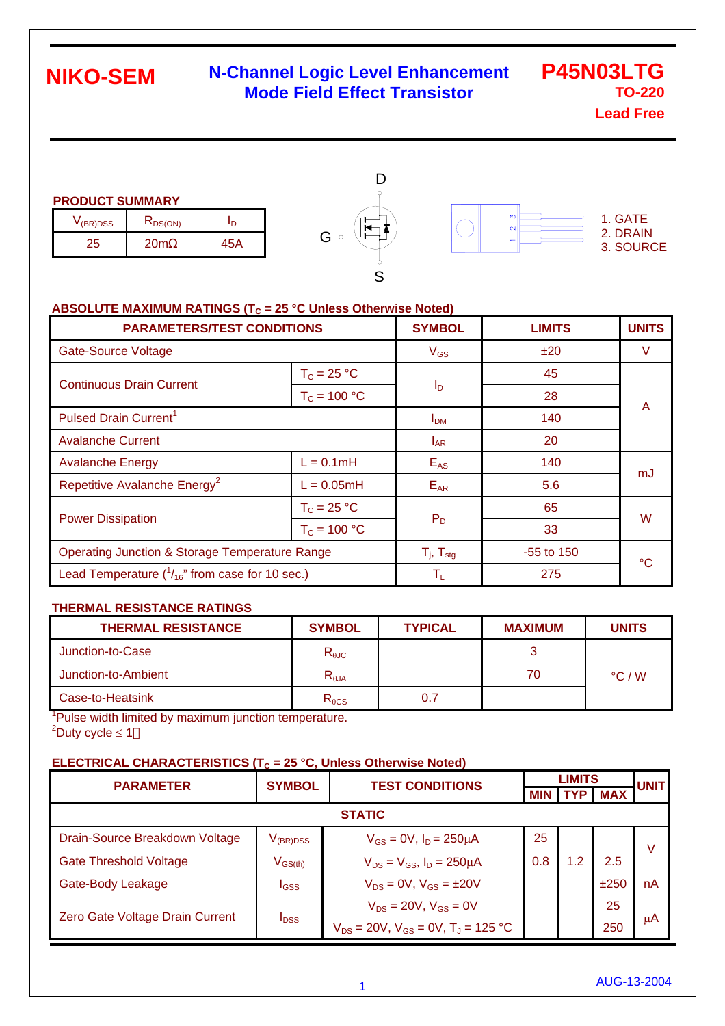# **NIKO-SEM**

### **N-Channel Logic Level Enhancement Mode Field Effect Transistor**

**P45N03LTG TO-220**

**Lead Free**

| <b>PRODUCT SUMMARY</b> |
|------------------------|
|------------------------|

| V <sub>(BR)DSS</sub> | $R_{DS(ON)}$ |  |
|----------------------|--------------|--|
| 25                   | 20m          |  |





1. GATE 2. DRAIN 3. SOURCE

### **ABSOLUTE MAXIMUM RATINGS (T<sub>C</sub> = 25 °C Unless Otherwise Noted)**

| <b>PARAMETERS/TEST CONDITIONS</b>                         | <b>SYMBOL</b>            | <b>LIMITS</b>   | <b>UNITS</b> |    |  |
|-----------------------------------------------------------|--------------------------|-----------------|--------------|----|--|
| <b>Gate-Source Voltage</b>                                |                          | $V_{GS}$        | ±20          | V  |  |
| <b>Continuous Drain Current</b>                           | $T_c = 25 °C$            |                 | 45           |    |  |
|                                                           | $T_c = 100 °C$           | $I_D$           | 28           | A  |  |
| Pulsed Drain Current <sup>1</sup>                         |                          | I <sub>DM</sub> | 140          |    |  |
| <b>Avalanche Current</b>                                  | $I_{AR}$                 | 20              |              |    |  |
| <b>Avalanche Energy</b>                                   | $L = 0.1mH$              | $E_{AS}$        | 140          |    |  |
| Repetitive Avalanche Energy <sup>2</sup>                  | $L = 0.05mH$             | $E_{AR}$        | 5.6          | mJ |  |
| <b>Power Dissipation</b>                                  | $T_c = 25 °C$            |                 | 65           | W  |  |
|                                                           | $T_c = 100 °C$           | $P_D$           | 33           |    |  |
| <b>Operating Junction &amp; Storage Temperature Range</b> | $T_j$ , $T_{\text{stg}}$ | $-55$ to 150    | °C           |    |  |
| Lead Temperature $\binom{1}{16}$ " from case for 10 sec.) | $\mathsf{T}_\mathsf{L}$  | 275             |              |    |  |

#### **THERMAL RESISTANCE RATINGS**

| <b>THERMAL RESISTANCE</b> | <b>SYMBOL</b>   | <b>TYPICAL</b> | <b>MAXIMUM</b> | <b>UNITS</b>    |
|---------------------------|-----------------|----------------|----------------|-----------------|
| Junction-to-Case          | $R_{\theta$ JC  |                |                |                 |
| Junction-to-Ambient       | $R_{\theta$ JA  |                | 70             | $\degree$ C / W |
| Case-to-Heatsink          | $R_{\theta CS}$ | 0.7            |                |                 |

<sup>1</sup>Pulse width limited by maximum junction temperature.  $2^2$ Duty cycle  $\leq 1$ 

#### **ELECTRICAL CHARACTERISTICS (T<sub>C</sub> = 25 °C, Unless Otherwise Noted)**

| <b>PARAMETER</b>                | <b>SYMBOL</b><br><b>TEST CONDITIONS</b> |                                                        |            | <b>UNIT</b> |            |    |
|---------------------------------|-----------------------------------------|--------------------------------------------------------|------------|-------------|------------|----|
|                                 |                                         |                                                        | <b>MIN</b> |             | <b>MAX</b> |    |
|                                 |                                         | <b>STATIC</b>                                          |            |             |            |    |
| Drain-Source Breakdown Voltage  | $V_{(BR)DSS}$                           | $V_{GS} = 0V$ , $I_D = 250 \mu A$                      | 25         |             |            | v  |
| <b>Gate Threshold Voltage</b>   | $V_{GS(th)}$                            | $V_{DS} = V_{GS}$ , $I_D = 250 \mu A$                  | 0.8        | 1.2         | 2.5        |    |
| Gate-Body Leakage               | <b>I</b> GSS                            | $V_{DS} = 0V$ , $V_{GS} = \pm 20V$                     |            |             | ±250       | nA |
| Zero Gate Voltage Drain Current | $I_{DSS}$                               | $V_{DS} = 20V$ , $V_{GS} = 0V$                         |            |             | 25         |    |
|                                 |                                         | $V_{DS}$ = 20V, $V_{GS}$ = 0V, T <sub>J</sub> = 125 °C |            |             | 250        | μA |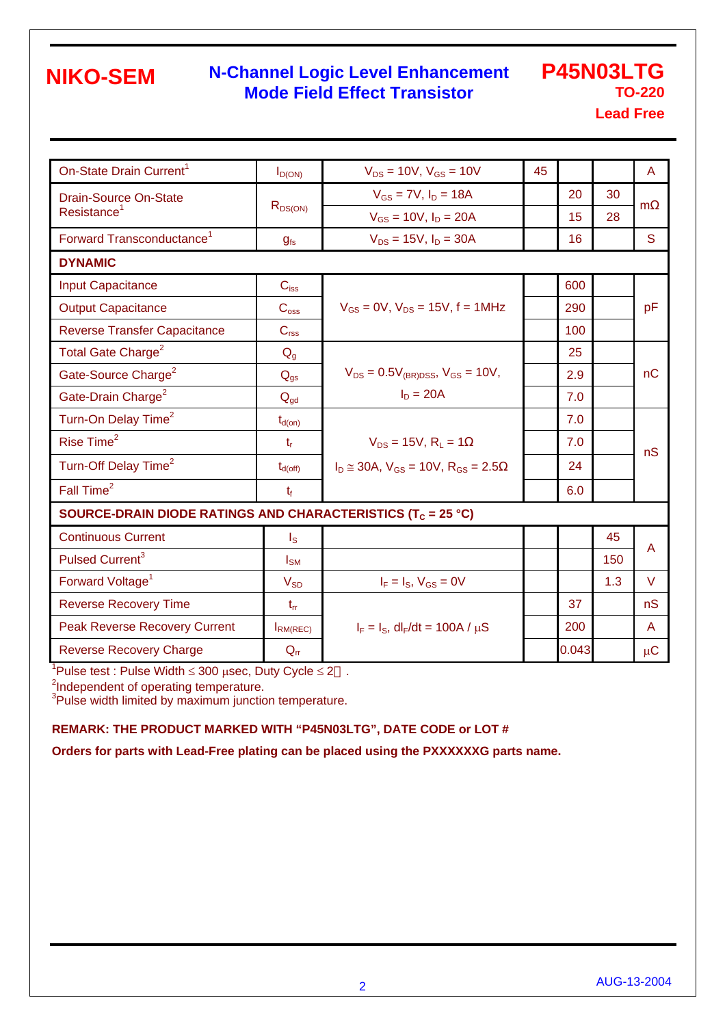## **NIKO-SEM**

### **N-Channel Logic Level Enhancement Mode Field Effect Transistor**

**P45N03LTG TO-220**

**Lead Free**

| On-State Drain Current <sup>1</sup>                                     | $I_{D(ON)}$             | $V_{DS} = 10V$ , $V_{GS} = 10V$                                                   | 45 |       |     | A       |
|-------------------------------------------------------------------------|-------------------------|-----------------------------------------------------------------------------------|----|-------|-----|---------|
|                                                                         |                         | $V_{GS}$ = 7V, $I_D$ = 18A                                                        |    | 20    | 30  |         |
| <b>Drain-Source On-State</b><br>Resistance <sup>1</sup>                 | $R_{DS(ON)}$            | $V_{GS} = 10V$ , $I_D = 20A$                                                      |    | 15    | 28  | m       |
| Forward Transconductance <sup>1</sup>                                   |                         |                                                                                   |    | 16    |     | S       |
|                                                                         | $q_{fs}$                | $V_{DS} = 15V$ , $I_D = 30A$                                                      |    |       |     |         |
| <b>DYNAMIC</b>                                                          |                         |                                                                                   |    |       |     |         |
| <b>Input Capacitance</b>                                                | $C_{iss}$               |                                                                                   |    | 600   |     |         |
| <b>Output Capacitance</b>                                               | $C_{\rm oss}$           | $V_{GS} = 0V$ , $V_{DS} = 15V$ , $f = 1MHz$                                       |    | 290   |     | pF      |
| <b>Reverse Transfer Capacitance</b>                                     | C <sub>rss</sub>        |                                                                                   |    | 100   |     |         |
| Total Gate Charge <sup>2</sup>                                          | $Q_{q}$                 |                                                                                   |    | 25    |     |         |
| Gate-Source Charge <sup>2</sup>                                         | $\mathbf{Q}_\text{gs}$  | $V_{DS} = 0.5V_{(BR)DSS}$ , $V_{GS} = 10V$ ,                                      |    | 2.9   |     | nC      |
| Gate-Drain Charge <sup>2</sup>                                          | $Q_{gd}$                | $I_D = 20A$                                                                       |    | 7.0   |     |         |
| Turn-On Delay Time <sup>2</sup>                                         | $t_{d(on)}$             |                                                                                   |    | 7.0   |     |         |
| Rise Time <sup>2</sup>                                                  | $t_{r}$                 | $V_{DS} = 15V$ , $R_1 = 1$<br>$I_D \approx 30A$ , $V_{GS} = 10V$ , $R_{GS} = 2.5$ |    | 7.0   |     | nS      |
| Turn-Off Delay Time <sup>2</sup>                                        | $t_{d(\text{off})}$     |                                                                                   |    | 24    |     |         |
| Fall Time <sup>2</sup>                                                  | $t_{\rm f}$             |                                                                                   |    | 6.0   |     |         |
| SOURCE-DRAIN DIODE RATINGS AND CHARACTERISTICS (T <sub>C</sub> = 25 °C) |                         |                                                                                   |    |       |     |         |
| <b>Continuous Current</b>                                               | $\mathsf{I}_\mathsf{S}$ |                                                                                   |    |       | 45  |         |
| Pulsed Current <sup>3</sup>                                             | $I_{\text{SM}}$         |                                                                                   |    |       | 150 | A       |
| Forward Voltage <sup>1</sup>                                            | $V_{SD}$                | $I_F = I_S$ , $V_{GS} = 0V$                                                       |    |       | 1.3 | $\vee$  |
| <b>Reverse Recovery Time</b>                                            | $t_{rr}$                |                                                                                   |    | 37    |     | nS      |
| <b>Peak Reverse Recovery Current</b>                                    | $I_{RM(REC)}$           | $I_F = I_S$ , dl <sub>F</sub> /dt = 100A / $\mu$ S                                |    | 200   |     | A       |
| <b>Reverse Recovery Charge</b>                                          | $Q_{rr}$                |                                                                                   |    | 0.043 |     | $\mu$ C |

<sup>1</sup>Pulse test : Pulse Width ≤ 300 µsec, Duty Cycle ≤ 2 .  $\frac{2}{1}$ <br> $\frac{2}{1}$ ndependent of energing temperature

<sup>2</sup>Independent of operating temperature.

<sup>3</sup>Pulse width limited by maximum junction temperature.

#### **REMARK: THE PRODUCT MARKED WITH "P45N03LTG", DATE CODE or LOT #**

**Orders for parts with Lead-Free plating can be placed using the PXXXXXXG parts name.**